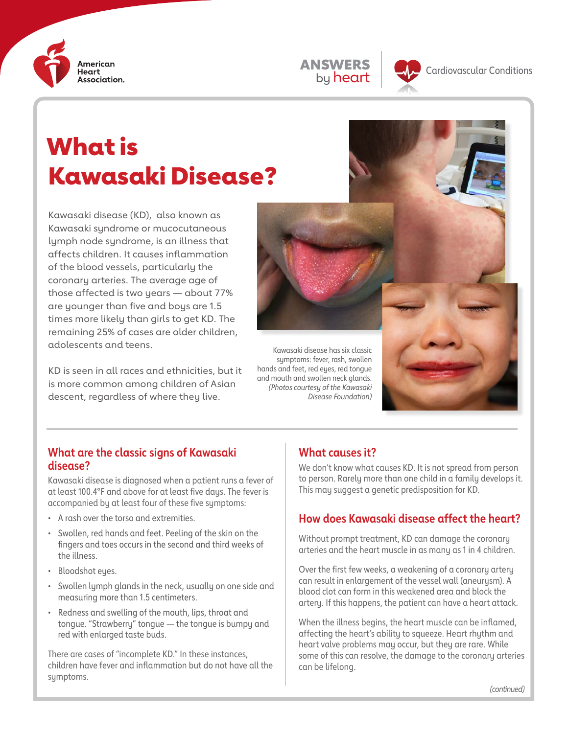



Kawasaki disease (KD), also known as Kawasaki syndrome or mucocutaneous lymph node syndrome, is an illness that affects children. It causes inflammation of the blood vessels, particularly the coronary arteries. The average age of those affected is two years — about 77% are younger than five and boys are 1.5 times more likely than girls to get KD. The remaining 25% of cases are older children, adolescents and teens.

KD is seen in all races and ethnicities, but it is more common among children of Asian descent, regardless of where they live.



Kawasaki disease has six classic symptoms: fever, rash, swollen hands and feet, red eyes, red tongue and mouth and swollen neck glands. *(Photos courtesy of the Kawasaki Disease Foundation)*



#### **What are the classic signs of Kawasaki disease?**

Kawasaki disease is diagnosed when a patient runs a fever of at least 100.4°F and above for at least five days. The fever is accompanied by at least four of these five symptoms:

- A rash over the torso and extremities.
- Swollen, red hands and feet. Peeling of the skin on the fingers and toes occurs in the second and third weeks of the illness.
- Bloodshot eyes.
- Swollen lymph glands in the neck, usually on one side and measuring more than 1.5 centimeters.
- Redness and swelling of the mouth, lips, throat and tongue. "Strawberry" tongue — the tongue is bumpy and red with enlarged taste buds.

There are cases of "incomplete KD." In these instances, children have fever and inflammation but do not have all the symptoms.

#### **What causes it?**

We don't know what causes KD. It is not spread from person to person. Rarely more than one child in a family develops it. This may suggest a genetic predisposition for KD.

# **How does Kawasaki disease affect the heart?**

Without prompt treatment, KD can damage the coronary arteries and the heart muscle in as many as 1 in 4 children.

Over the first few weeks, a weakening of a coronary artery can result in enlargement of the vessel wall (aneurusm). A blood clot can form in this weakened area and block the artery. If this happens, the patient can have a heart attack.

When the illness begins, the heart muscle can be inflamed, affecting the heart's ability to squeeze. Heart rhythm and heart valve problems may occur, but they are rare. While some of this can resolve, the damage to the coronary arteries can be lifelong.

ANSWERS by heart